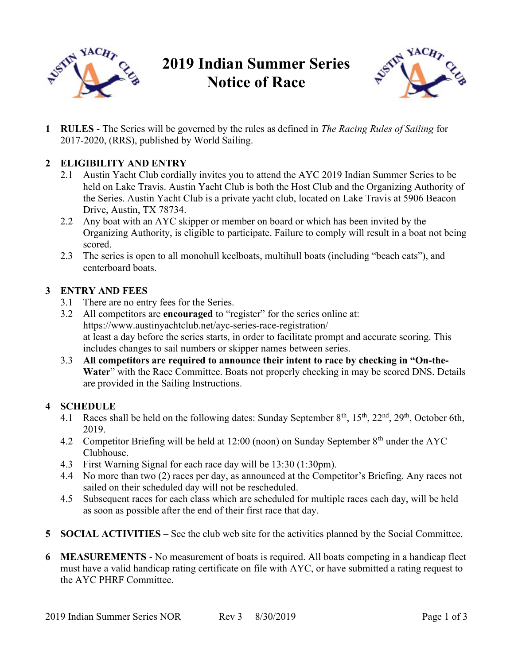

# 2019 Indian Summer Series Notice of Race



1 RULES - The Series will be governed by the rules as defined in The Racing Rules of Sailing for 2017-2020, (RRS), published by World Sailing.

### 2 ELIGIBILITY AND ENTRY

- 2.1 Austin Yacht Club cordially invites you to attend the AYC 2019 Indian Summer Series to be held on Lake Travis. Austin Yacht Club is both the Host Club and the Organizing Authority of the Series. Austin Yacht Club is a private yacht club, located on Lake Travis at 5906 Beacon Drive, Austin, TX 78734.
- 2.2 Any boat with an AYC skipper or member on board or which has been invited by the Organizing Authority, is eligible to participate. Failure to comply will result in a boat not being scored.
- 2.3 The series is open to all monohull keelboats, multihull boats (including "beach cats"), and centerboard boats.

#### 3 ENTRY AND FEES

- 3.1 There are no entry fees for the Series.
- 3.2 All competitors are encouraged to "register" for the series online at: https://www.austinyachtclub.net/ayc-series-race-registration/ at least a day before the series starts, in order to facilitate prompt and accurate scoring. This includes changes to sail numbers or skipper names between series.
- 3.3 All competitors are required to announce their intent to race by checking in "On-the-Water" with the Race Committee. Boats not properly checking in may be scored DNS. Details are provided in the Sailing Instructions.

#### 4 SCHEDULE

- 4.1 Races shall be held on the following dates: Sunday September  $8<sup>th</sup>$ ,  $15<sup>th</sup>$ ,  $22<sup>nd</sup>$ ,  $29<sup>th</sup>$ , October 6th, 2019.
- 4.2 Competitor Briefing will be held at 12:00 (noon) on Sunday September 8<sup>th</sup> under the AYC Clubhouse.
- 4.3 First Warning Signal for each race day will be 13:30 (1:30pm).
- 4.4 No more than two (2) races per day, as announced at the Competitor's Briefing. Any races not sailed on their scheduled day will not be rescheduled.
- 4.5 Subsequent races for each class which are scheduled for multiple races each day, will be held as soon as possible after the end of their first race that day.
- 5 SOCIAL ACTIVITIES See the club web site for the activities planned by the Social Committee.
- 6 MEASUREMENTS No measurement of boats is required. All boats competing in a handicap fleet must have a valid handicap rating certificate on file with AYC, or have submitted a rating request to the AYC PHRF Committee.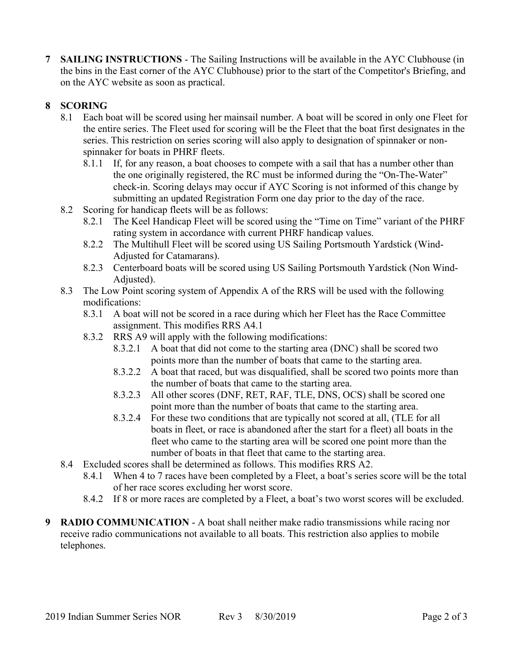**SAILING INSTRUCTIONS - The Sailing Instructions will be available in the AYC Clubhouse (in** the bins in the East corner of the AYC Clubhouse) prior to the start of the Competitor's Briefing, and on the AYC website as soon as practical.

## 8 SCORING

- 8.1 Each boat will be scored using her mainsail number. A boat will be scored in only one Fleet for the entire series. The Fleet used for scoring will be the Fleet that the boat first designates in the series. This restriction on series scoring will also apply to designation of spinnaker or nonspinnaker for boats in PHRF fleets.
	- 8.1.1 If, for any reason, a boat chooses to compete with a sail that has a number other than the one originally registered, the RC must be informed during the "On-The-Water" check-in. Scoring delays may occur if AYC Scoring is not informed of this change by submitting an updated Registration Form one day prior to the day of the race.
- 8.2 Scoring for handicap fleets will be as follows:
	- 8.2.1 The Keel Handicap Fleet will be scored using the "Time on Time" variant of the PHRF rating system in accordance with current PHRF handicap values.
	- 8.2.2 The Multihull Fleet will be scored using US Sailing Portsmouth Yardstick (Wind-Adjusted for Catamarans).
	- 8.2.3 Centerboard boats will be scored using US Sailing Portsmouth Yardstick (Non Wind-Adjusted).
- 8.3 The Low Point scoring system of Appendix A of the RRS will be used with the following modifications:
	- 8.3.1 A boat will not be scored in a race during which her Fleet has the Race Committee assignment. This modifies RRS A4.1
	- 8.3.2 RRS A9 will apply with the following modifications:
		- 8.3.2.1 A boat that did not come to the starting area (DNC) shall be scored two points more than the number of boats that came to the starting area.
		- 8.3.2.2 A boat that raced, but was disqualified, shall be scored two points more than the number of boats that came to the starting area.
		- 8.3.2.3 All other scores (DNF, RET, RAF, TLE, DNS, OCS) shall be scored one point more than the number of boats that came to the starting area.
		- 8.3.2.4 For these two conditions that are typically not scored at all, (TLE for all boats in fleet, or race is abandoned after the start for a fleet) all boats in the fleet who came to the starting area will be scored one point more than the number of boats in that fleet that came to the starting area.
- 8.4 Excluded scores shall be determined as follows. This modifies RRS A2.
	- 8.4.1 When 4 to 7 races have been completed by a Fleet, a boat's series score will be the total of her race scores excluding her worst score.
	- 8.4.2 If 8 or more races are completed by a Fleet, a boat's two worst scores will be excluded.
- 9 RADIO COMMUNICATION A boat shall neither make radio transmissions while racing nor receive radio communications not available to all boats. This restriction also applies to mobile telephones.